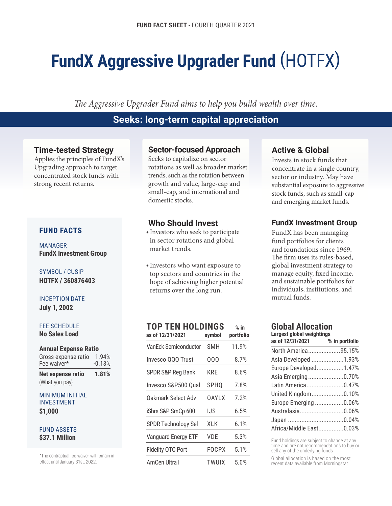# **FundX Aggressive Upgrader Fund** (HOTFX)

*The Aggressive Upgrader Fund aims to help you build wealth over time.*

# **Seeks: long-term capital appreciation**

# **Time-tested Strategy**

Applies the principles of FundX's Upgrading approach to target concentrated stock funds with strong recent returns.

## **FUND FACTS**

MANAGER **FundX Investment Group**

SYMBOL / CUSIP **HOTFX / 360876403**

### INCEPTION DATE

**July 1, 2002**

#### FEE SCHEDULE

**No Sales Load**

#### **Annual Expense Ratio**

| Net expense ratio   | 1.81%    |
|---------------------|----------|
| Fee waiver*         | $-0.13%$ |
| Gross expense ratio | 1.94%    |

|  |  | <i></i>        |  |  |  |
|--|--|----------------|--|--|--|
|  |  | (What you pay) |  |  |  |

#### MINIMUM INITIAL INVESTMENT **\$1,000**

#### FUND ASSETS **\$37.1 Million**

\*The contractual fee waiver will remain in effect until January 31st, 2022.

# **Sector-focused Approach**

Seeks to capitalize on sector rotations as well as broader market trends, such as the rotation between growth and value, large-cap and small-cap, and international and domestic stocks.

# **Who Should Invest**

- Investors who seek to participate in sector rotations and global market trends.
- Investors who want exposure to top sectors and countries in the hope of achieving higher potential returns over the long run.

### **TOP TEN HOLDINGS % in**

| symbol           | portfolio |
|------------------|-----------|
| SMH              | 11.9%     |
| QQQ              | 8.7%      |
| KRF              | 8.6%      |
| SPH <sub>0</sub> | 7.8%      |
| 0AYLX            | 7.2%      |
| IJS              | 6.5%      |
| XLK              | 6.1%      |
| VDF              | 5.3%      |
| FOCPX            | 5.1%      |
| TWUIX            | 5.0%      |
|                  |           |

# **Active & Global**

Invests in stock funds that concentrate in a single country, sector or industry. May have substantial exposure to aggressive stock funds, such as small-cap and emerging market funds.

# **FundX Investment Group**

FundX has been managing fund portfolios for clients and foundations since 1969. The firm uses its rules-based, global investment strategy to manage equity, fixed income, and sustainable portfolios for individuals, institutions, and mutual funds.

#### **Global Allocation Largest global weightings**

| LAIYGƏL YIVDAI WEIYIILIIYƏ |                |  |  |  |  |  |
|----------------------------|----------------|--|--|--|--|--|
| as of 12/31/2021           | % in portfolio |  |  |  |  |  |
| North America95.15%        |                |  |  |  |  |  |
| Asia Developed 1.93%       |                |  |  |  |  |  |
| Europe Developed1.47%      |                |  |  |  |  |  |
| Asia Emerging0.70%         |                |  |  |  |  |  |
| Latin America0.47%         |                |  |  |  |  |  |
| United Kingdom0.10%        |                |  |  |  |  |  |
| Europe Emerging 0.06%      |                |  |  |  |  |  |
| Australasia0.06%           |                |  |  |  |  |  |
|                            |                |  |  |  |  |  |
| Africa/Middle East0.03%    |                |  |  |  |  |  |

Fund holdings are subject to change at any time and are not recommendations to buy or sell any of the underlying funds

Global allocation is based on the most recent data available from Morningstar.